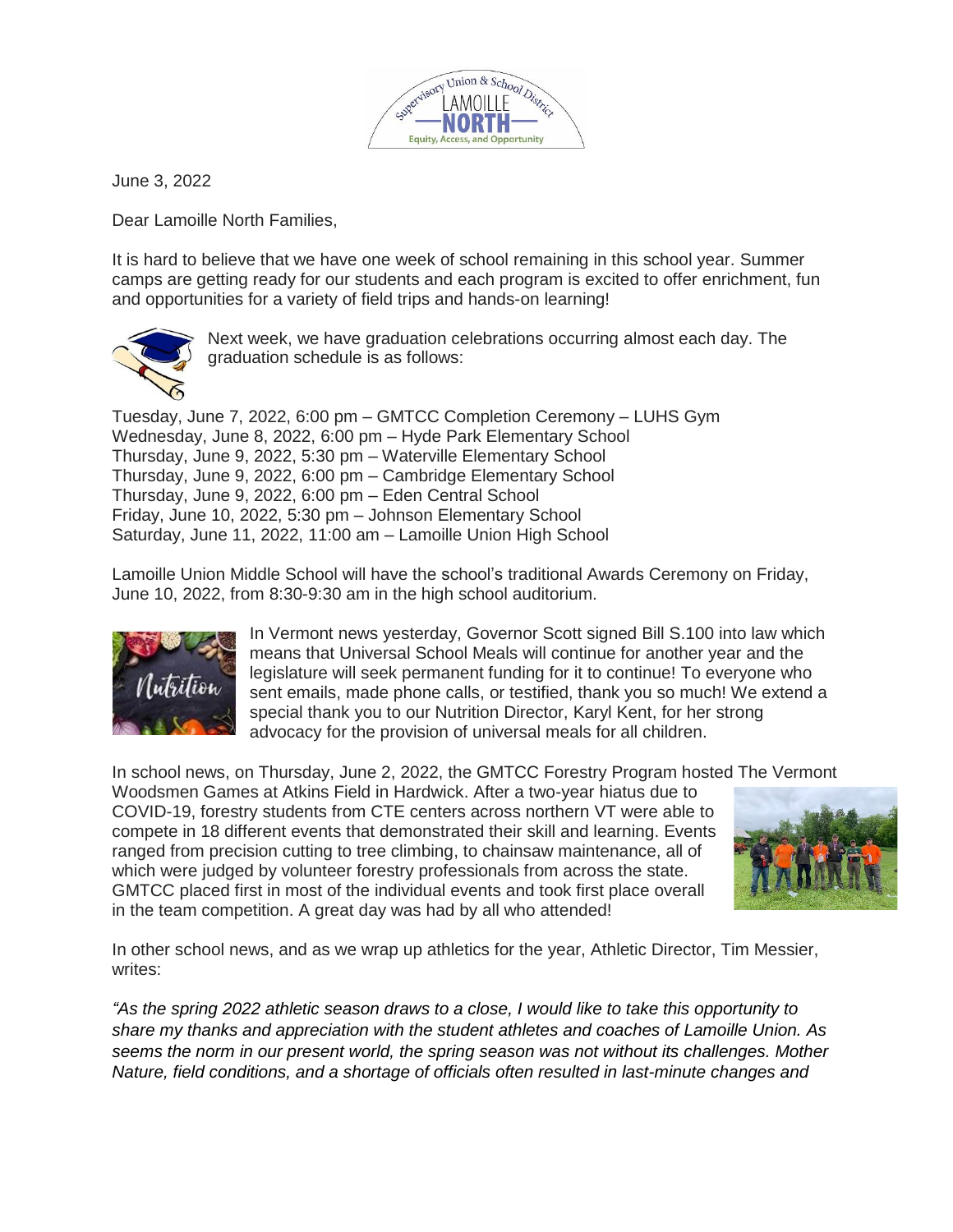

June 3, 2022

Dear Lamoille North Families,

It is hard to believe that we have one week of school remaining in this school year. Summer camps are getting ready for our students and each program is excited to offer enrichment, fun and opportunities for a variety of field trips and hands-on learning!



Next week, we have graduation celebrations occurring almost each day. The graduation schedule is as follows:

Tuesday, June 7, 2022, 6:00 pm – GMTCC Completion Ceremony – LUHS Gym Wednesday, June 8, 2022, 6:00 pm – Hyde Park Elementary School Thursday, June 9, 2022, 5:30 pm – Waterville Elementary School Thursday, June 9, 2022, 6:00 pm – Cambridge Elementary School Thursday, June 9, 2022, 6:00 pm – Eden Central School Friday, June 10, 2022, 5:30 pm – Johnson Elementary School Saturday, June 11, 2022, 11:00 am – Lamoille Union High School

Lamoille Union Middle School will have the school's traditional Awards Ceremony on Friday, June 10, 2022, from 8:30-9:30 am in the high school auditorium.



In Vermont news yesterday, Governor Scott signed Bill S.100 into law which means that Universal School Meals will continue for another year and the legislature will seek permanent funding for it to continue! To everyone who sent emails, made phone calls, or testified, thank you so much! We extend a special thank you to our Nutrition Director, Karyl Kent, for her strong advocacy for the provision of universal meals for all children.

In school news, on Thursday, June 2, 2022, the GMTCC Forestry Program hosted The Vermont

Woodsmen Games at Atkins Field in Hardwick. After a two-year hiatus due to COVID-19, forestry students from CTE centers across northern VT were able to compete in 18 different events that demonstrated their skill and learning. Events ranged from precision cutting to tree climbing, to chainsaw maintenance, all of which were judged by volunteer forestry professionals from across the state. GMTCC placed first in most of the individual events and took first place overall in the team competition. A great day was had by all who attended!



In other school news, and as we wrap up athletics for the year, Athletic Director, Tim Messier, writes:

*"As the spring 2022 athletic season draws to a close, I would like to take this opportunity to share my thanks and appreciation with the student athletes and coaches of Lamoille Union. As seems the norm in our present world, the spring season was not without its challenges. Mother Nature, field conditions, and a shortage of officials often resulted in last-minute changes and*